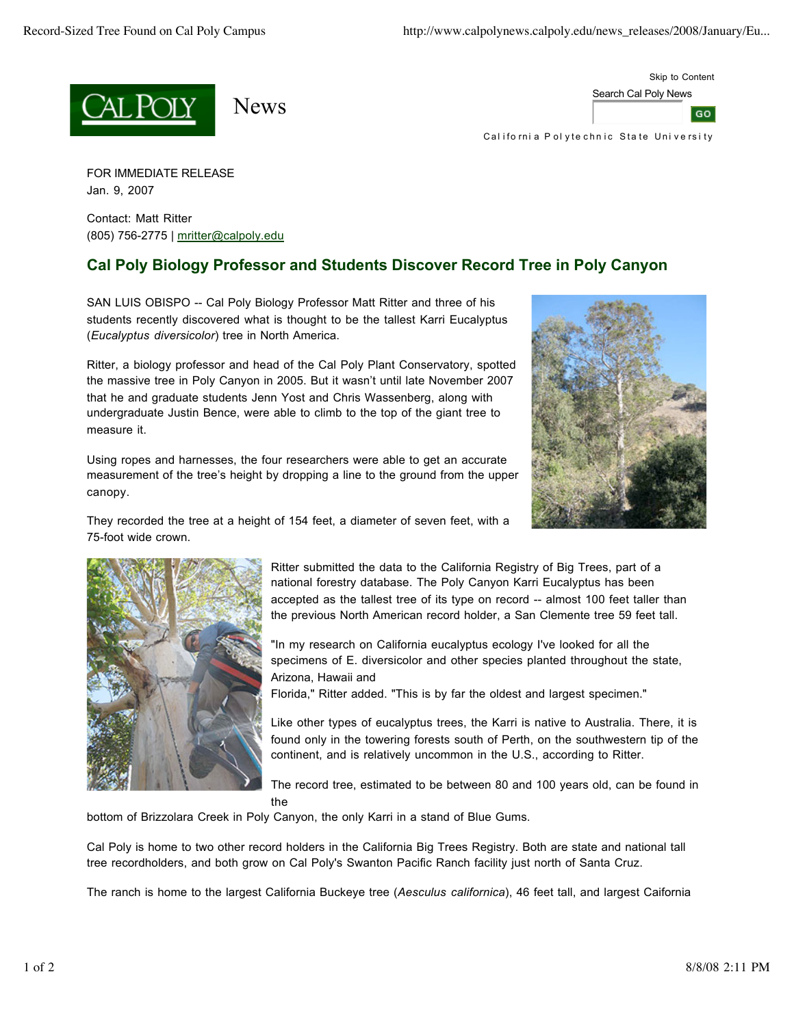





California Polyte chnic State University

FOR IMMEDIATE RELEASE Jan. 9, 2007

Contact: Matt Ritter (805) 756-2775 | mritter@calpoly.edu

## **Cal Poly Biology Professor and Students Discover Record Tree in Poly Canyon**

SAN LUIS OBISPO -- Cal Poly Biology Professor Matt Ritter and three of his students recently discovered what is thought to be the tallest Karri Eucalyptus (*Eucalyptus diversicolor*) tree in North America.

Ritter, a biology professor and head of the Cal Poly Plant Conservatory, spotted the massive tree in Poly Canyon in 2005. But it wasn't until late November 2007 that he and graduate students Jenn Yost and Chris Wassenberg, along with undergraduate Justin Bence, were able to climb to the top of the giant tree to measure it.

Using ropes and harnesses, the four researchers were able to get an accurate measurement of the tree's height by dropping a line to the ground from the upper canopy.



They recorded the tree at a height of 154 feet, a diameter of seven feet, with a 75-foot wide crown.



Ritter submitted the data to the California Registry of Big Trees, part of a national forestry database. The Poly Canyon Karri Eucalyptus has been accepted as the tallest tree of its type on record -- almost 100 feet taller than the previous North American record holder, a San Clemente tree 59 feet tall.

"In my research on California eucalyptus ecology I've looked for all the specimens of E. diversicolor and other species planted throughout the state, Arizona, Hawaii and

Florida," Ritter added. "This is by far the oldest and largest specimen."

Like other types of eucalyptus trees, the Karri is native to Australia. There, it is found only in the towering forests south of Perth, on the southwestern tip of the continent, and is relatively uncommon in the U.S., according to Ritter.

The record tree, estimated to be between 80 and 100 years old, can be found in the

bottom of Brizzolara Creek in Poly Canyon, the only Karri in a stand of Blue Gums.

Cal Poly is home to two other record holders in the California Big Trees Registry. Both are state and national tall tree recordholders, and both grow on Cal Poly's Swanton Pacific Ranch facility just north of Santa Cruz.

The ranch is home to the largest California Buckeye tree (*Aesculus californica*), 46 feet tall, and largest Caifornia